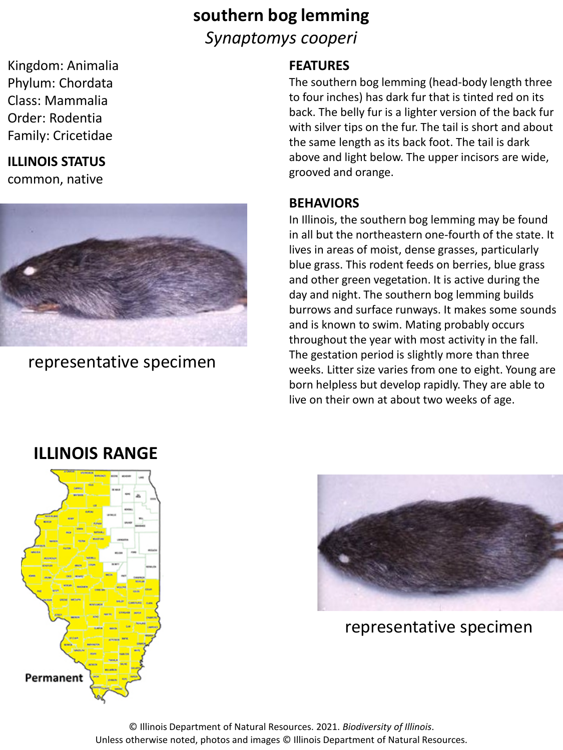# **southern bog lemming** *Synaptomys cooperi*

Kingdom: Animalia Phylum: Chordata Class: Mammalia Order: Rodentia Family: Cricetidae

## **ILLINOIS STATUS**

common, native



representative specimen

### **FEATURES**

The southern bog lemming (head-body length three to four inches) has dark fur that is tinted red on its back. The belly fur is a lighter version of the back fur with silver tips on the fur. The tail is short and about the same length as its back foot. The tail is dark above and light below. The upper incisors are wide, grooved and orange.

### **BEHAVIORS**

In Illinois, the southern bog lemming may be found in all but the northeastern one-fourth of the state. It lives in areas of moist, dense grasses, particularly blue grass. This rodent feeds on berries, blue grass and other green vegetation. It is active during the day and night. The southern bog lemming builds burrows and surface runways. It makes some sounds and is known to swim. Mating probably occurs throughout the year with most activity in the fall. The gestation period is slightly more than three weeks. Litter size varies from one to eight. Young are born helpless but develop rapidly. They are able to live on their own at about two weeks of age.

# Permanent



representative specimen

© Illinois Department of Natural Resources. 2021. *Biodiversity of Illinois*. Unless otherwise noted, photos and images © Illinois Department of Natural Resources.

# **ILLINOIS RANGE**